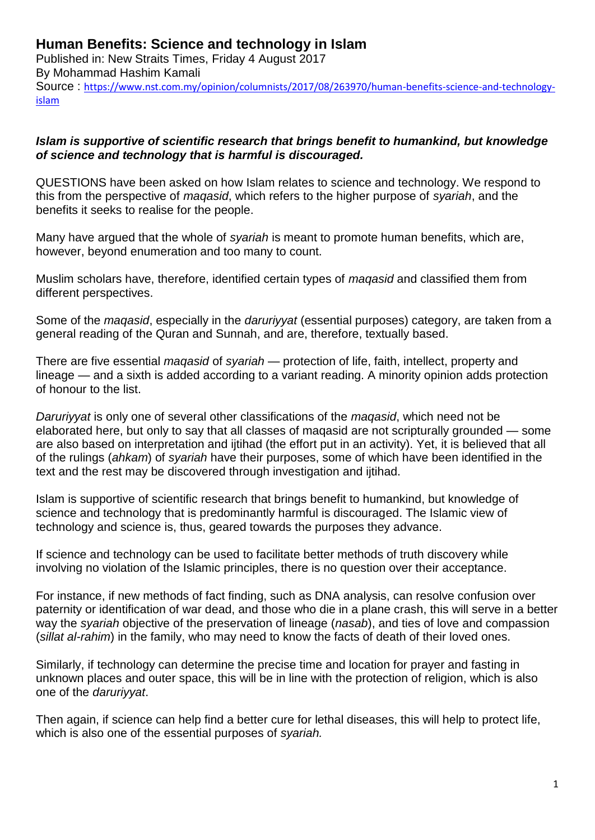## **Human Benefits: Science and technology in Islam**

Published in: New Straits Times, Friday 4 August 2017 By Mohammad Hashim Kamali Source : [https://www.nst.com.my/opinion/columnists/2017/08/263970/human-benefits-science-and-technology](https://www.nst.com.my/opinion/columnists/2017/08/263970/human-benefits-science-and-technology-islam)[islam](https://www.nst.com.my/opinion/columnists/2017/08/263970/human-benefits-science-and-technology-islam)

## *Islam is supportive of scientific research that brings benefit to humankind, but knowledge of science and technology that is harmful is discouraged.*

QUESTIONS have been asked on how Islam relates to science and technology. We respond to this from the perspective of *maqasid*, which refers to the higher purpose of *syariah*, and the benefits it seeks to realise for the people.

Many have argued that the whole of *syariah* is meant to promote human benefits, which are, however, beyond enumeration and too many to count.

Muslim scholars have, therefore, identified certain types of *maqasid* and classified them from different perspectives.

Some of the *maqasid*, especially in the *daruriyyat* (essential purposes) category, are taken from a general reading of the Quran and Sunnah, and are, therefore, textually based.

There are five essential *maqasid* of *syariah* — protection of life, faith, intellect, property and lineage — and a sixth is added according to a variant reading. A minority opinion adds protection of honour to the list.

*Daruriyyat* is only one of several other classifications of the *maqasid*, which need not be elaborated here, but only to say that all classes of maqasid are not scripturally grounded — some are also based on interpretation and ijtihad (the effort put in an activity). Yet, it is believed that all of the rulings (*ahkam*) of *syariah* have their purposes, some of which have been identified in the text and the rest may be discovered through investigation and ijtihad.

Islam is supportive of scientific research that brings benefit to humankind, but knowledge of science and technology that is predominantly harmful is discouraged. The Islamic view of technology and science is, thus, geared towards the purposes they advance.

If science and technology can be used to facilitate better methods of truth discovery while involving no violation of the Islamic principles, there is no question over their acceptance.

For instance, if new methods of fact finding, such as DNA analysis, can resolve confusion over paternity or identification of war dead, and those who die in a plane crash, this will serve in a better way the *syariah* objective of the preservation of lineage (*nasab*), and ties of love and compassion (*sillat al-rahim*) in the family, who may need to know the facts of death of their loved ones.

Similarly, if technology can determine the precise time and location for prayer and fasting in unknown places and outer space, this will be in line with the protection of religion, which is also one of the *daruriyyat*.

Then again, if science can help find a better cure for lethal diseases, this will help to protect life, which is also one of the essential purposes of *syariah.*